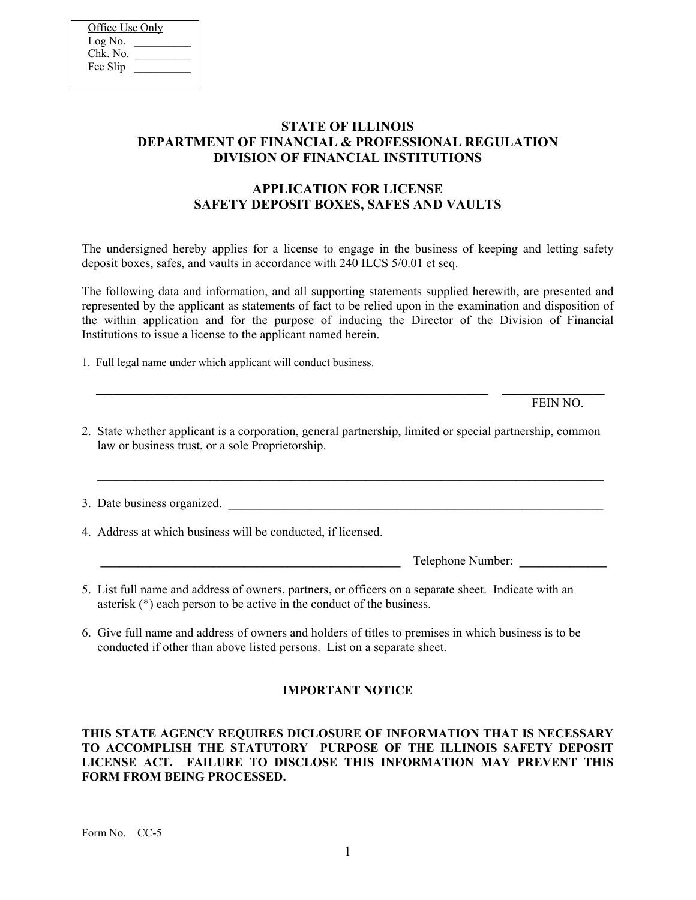| Office Use Only |  |
|-----------------|--|
| Log No.         |  |
| Chk. No.        |  |
| Fee Slip        |  |
|                 |  |

## **STATE OF ILLINOIS DEPARTMENT OF FINANCIAL & PROFESSIONAL REGULATION DIVISION OF FINANCIAL INSTITUTIONS**

# **APPLICATION FOR LICENSE SAFETY DEPOSIT BOXES, SAFES AND VAULTS**

The undersigned hereby applies for a license to engage in the business of keeping and letting safety deposit boxes, safes, and vaults in accordance with 240 ILCS 5/0.01 et seq.

The following data and information, and all supporting statements supplied herewith, are presented and represented by the applicant as statements of fact to be relied upon in the examination and disposition of the within application and for the purpose of inducing the Director of the Division of Financial Institutions to issue a license to the applicant named herein.

1. Full legal name under which applicant will conduct business.

FEIN NO.

2. State whether applicant is a corporation, general partnership, limited or special partnership, common law or business trust, or a sole Proprietorship.

**\_\_\_\_\_\_\_\_\_\_\_\_\_\_\_\_\_\_\_\_\_\_\_\_\_\_\_\_\_\_\_\_\_\_\_\_\_\_\_\_\_\_\_\_\_\_\_\_\_\_\_\_\_\_\_\_\_\_\_\_\_\_\_\_\_\_\_\_\_\_\_\_\_\_\_\_\_\_\_\_\_**

3. Date business organized.

4. Address at which business will be conducted, if licensed.

**\_\_\_\_\_\_\_\_\_\_\_\_\_\_\_\_\_\_\_\_\_\_\_\_\_\_\_\_\_\_\_\_\_\_\_\_\_\_\_\_\_\_\_\_\_\_\_\_** Telephone Number: **\_\_\_\_\_\_\_\_\_\_\_\_\_\_**

- 5. List full name and address of owners, partners, or officers on a separate sheet. Indicate with an asterisk (\*) each person to be active in the conduct of the business.
- 6. Give full name and address of owners and holders of titles to premises in which business is to be conducted if other than above listed persons. List on a separate sheet.

## **IMPORTANT NOTICE**

### **THIS STATE AGENCY REQUIRES DICLOSURE OF INFORMATION THAT IS NECESSARY TO ACCOMPLISH THE STATUTORY PURPOSE OF THE ILLINOIS SAFETY DEPOSIT LICENSE ACT. FAILURE TO DISCLOSE THIS INFORMATION MAY PREVENT THIS FORM FROM BEING PROCESSED.**

Form No. CC-5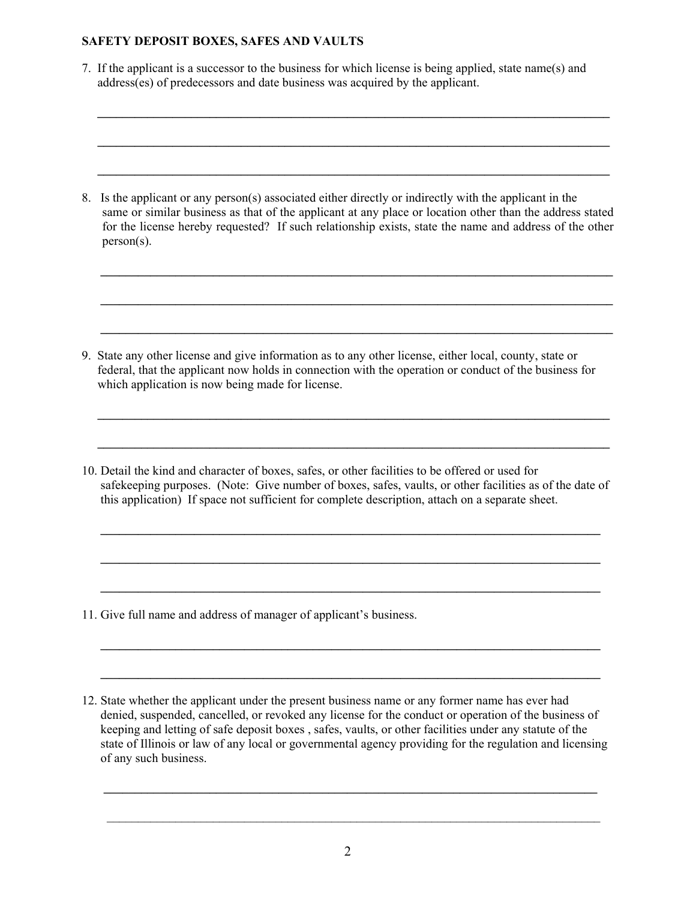7. If the applicant is a successor to the business for which license is being applied, state name(s) and address(es) of predecessors and date business was acquired by the applicant.

**\_\_\_\_\_\_\_\_\_\_\_\_\_\_\_\_\_\_\_\_\_\_\_\_\_\_\_\_\_\_\_\_\_\_\_\_\_\_\_\_\_\_\_\_\_\_\_\_\_\_\_\_\_\_\_\_\_\_\_\_\_\_\_\_\_\_\_\_\_\_\_\_\_\_\_\_\_\_\_\_\_\_**

**\_\_\_\_\_\_\_\_\_\_\_\_\_\_\_\_\_\_\_\_\_\_\_\_\_\_\_\_\_\_\_\_\_\_\_\_\_\_\_\_\_\_\_\_\_\_\_\_\_\_\_\_\_\_\_\_\_\_\_\_\_\_\_\_\_\_\_\_\_\_\_\_\_\_\_\_\_\_\_\_\_\_**

**\_\_\_\_\_\_\_\_\_\_\_\_\_\_\_\_\_\_\_\_\_\_\_\_\_\_\_\_\_\_\_\_\_\_\_\_\_\_\_\_\_\_\_\_\_\_\_\_\_\_\_\_\_\_\_\_\_\_\_\_\_\_\_\_\_\_\_\_\_\_\_\_\_\_\_\_\_\_\_\_\_\_**

8. Is the applicant or any person(s) associated either directly or indirectly with the applicant in the same or similar business as that of the applicant at any place or location other than the address stated for the license hereby requested? If such relationship exists, state the name and address of the other person(s).

**\_\_\_\_\_\_\_\_\_\_\_\_\_\_\_\_\_\_\_\_\_\_\_\_\_\_\_\_\_\_\_\_\_\_\_\_\_\_\_\_\_\_\_\_\_\_\_\_\_\_\_\_\_\_\_\_\_\_\_\_\_\_\_\_\_\_\_\_\_\_\_\_\_\_\_\_\_\_\_\_\_\_**

**\_\_\_\_\_\_\_\_\_\_\_\_\_\_\_\_\_\_\_\_\_\_\_\_\_\_\_\_\_\_\_\_\_\_\_\_\_\_\_\_\_\_\_\_\_\_\_\_\_\_\_\_\_\_\_\_\_\_\_\_\_\_\_\_\_\_\_\_\_\_\_\_\_\_\_\_\_\_\_\_\_\_**

**\_\_\_\_\_\_\_\_\_\_\_\_\_\_\_\_\_\_\_\_\_\_\_\_\_\_\_\_\_\_\_\_\_\_\_\_\_\_\_\_\_\_\_\_\_\_\_\_\_\_\_\_\_\_\_\_\_\_\_\_\_\_\_\_\_\_\_\_\_\_\_\_\_\_\_\_\_\_\_\_\_\_**

9. State any other license and give information as to any other license, either local, county, state or federal, that the applicant now holds in connection with the operation or conduct of the business for which application is now being made for license.

10. Detail the kind and character of boxes, safes, or other facilities to be offered or used for safekeeping purposes. (Note: Give number of boxes, safes, vaults, or other facilities as of the date of this application) If space not sufficient for complete description, attach on a separate sheet.

**\_\_\_\_\_\_\_\_\_\_\_\_\_\_\_\_\_\_\_\_\_\_\_\_\_\_\_\_\_\_\_\_\_\_\_\_\_\_\_\_\_\_\_\_\_\_\_\_\_\_\_\_\_\_\_\_\_\_\_\_\_\_\_\_\_\_\_\_\_\_\_\_\_\_\_\_\_\_\_\_**

**\_\_\_\_\_\_\_\_\_\_\_\_\_\_\_\_\_\_\_\_\_\_\_\_\_\_\_\_\_\_\_\_\_\_\_\_\_\_\_\_\_\_\_\_\_\_\_\_\_\_\_\_\_\_\_\_\_\_\_\_\_\_\_\_\_\_\_\_\_\_\_\_\_\_\_\_\_\_\_\_**

**\_\_\_\_\_\_\_\_\_\_\_\_\_\_\_\_\_\_\_\_\_\_\_\_\_\_\_\_\_\_\_\_\_\_\_\_\_\_\_\_\_\_\_\_\_\_\_\_\_\_\_\_\_\_\_\_\_\_\_\_\_\_\_\_\_\_\_\_\_\_\_\_\_\_\_\_\_\_\_\_**

**\_\_\_\_\_\_\_\_\_\_\_\_\_\_\_\_\_\_\_\_\_\_\_\_\_\_\_\_\_\_\_\_\_\_\_\_\_\_\_\_\_\_\_\_\_\_\_\_\_\_\_\_\_\_\_\_\_\_\_\_\_\_\_\_\_\_\_\_\_\_\_\_\_\_\_\_\_\_\_\_**

**\_\_\_\_\_\_\_\_\_\_\_\_\_\_\_\_\_\_\_\_\_\_\_\_\_\_\_\_\_\_\_\_\_\_\_\_\_\_\_\_\_\_\_\_\_\_\_\_\_\_\_\_\_\_\_\_\_\_\_\_\_\_\_\_\_\_\_\_\_\_\_\_\_\_\_\_\_\_\_\_\_\_**

11. Give full name and address of manager of applicant's business.

12. State whether the applicant under the present business name or any former name has ever had denied, suspended, cancelled, or revoked any license for the conduct or operation of the business of keeping and letting of safe deposit boxes , safes, vaults, or other facilities under any statute of the state of Illinois or law of any local or governmental agency providing for the regulation and licensing of any such business.

**\_\_\_\_\_\_\_\_\_\_\_\_\_\_\_\_\_\_\_\_\_\_\_\_\_\_\_\_\_\_\_\_\_\_\_\_\_\_\_\_\_\_\_\_\_\_\_\_\_\_\_\_\_\_\_\_\_\_\_\_\_\_\_\_\_\_\_\_\_\_\_\_\_\_\_\_\_\_\_**

 $\mathcal{L}_\mathcal{L} = \{ \mathcal{L}_\mathcal{L} = \{ \mathcal{L}_\mathcal{L} = \{ \mathcal{L}_\mathcal{L} = \{ \mathcal{L}_\mathcal{L} = \{ \mathcal{L}_\mathcal{L} = \{ \mathcal{L}_\mathcal{L} = \{ \mathcal{L}_\mathcal{L} = \{ \mathcal{L}_\mathcal{L} = \{ \mathcal{L}_\mathcal{L} = \{ \mathcal{L}_\mathcal{L} = \{ \mathcal{L}_\mathcal{L} = \{ \mathcal{L}_\mathcal{L} = \{ \mathcal{L}_\mathcal{L} = \{ \mathcal{L}_\mathcal{$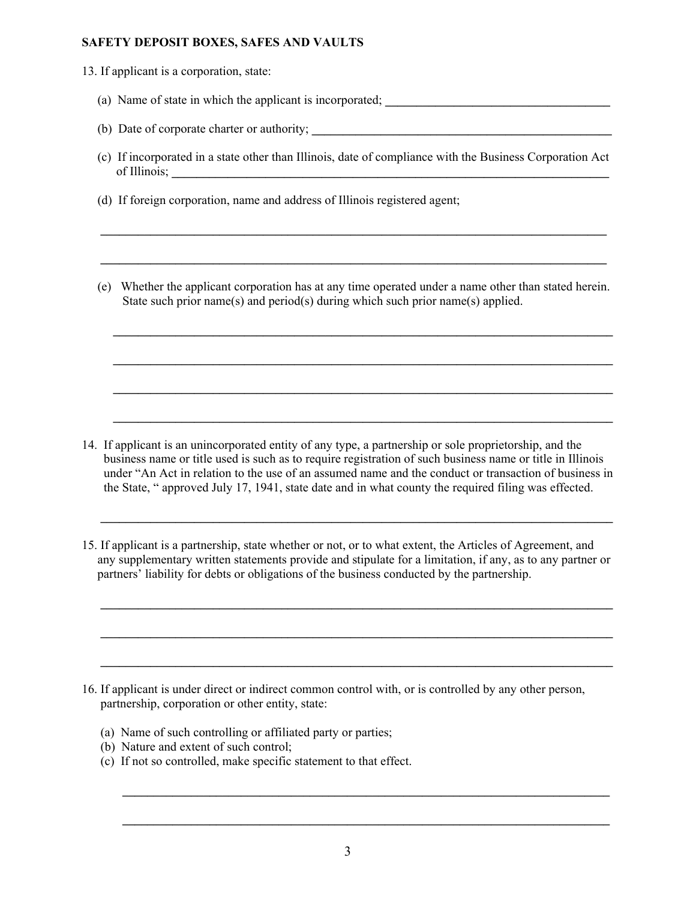13. If applicant is a corporation, state:

- (a) Name of state in which the applicant is incorporated;
- (b) Date of corporate charter or authority; **\_\_\_\_\_\_\_\_\_\_\_\_\_\_\_\_\_\_\_\_\_\_\_\_\_\_\_\_\_\_\_\_\_\_\_\_\_\_\_\_\_\_\_\_\_\_\_\_**
- (c) If incorporated in a state other than Illinois, date of compliance with the Business Corporation Act of Illinois; **\_\_\_\_\_\_\_\_\_\_\_\_\_\_\_\_\_\_\_\_\_\_\_\_\_\_\_\_\_\_\_\_\_\_\_\_\_\_\_\_\_\_\_\_\_\_\_\_\_\_\_\_\_\_\_\_\_\_\_\_\_\_\_\_\_\_\_\_\_\_**

**\_\_\_\_\_\_\_\_\_\_\_\_\_\_\_\_\_\_\_\_\_\_\_\_\_\_\_\_\_\_\_\_\_\_\_\_\_\_\_\_\_\_\_\_\_\_\_\_\_\_\_\_\_\_\_\_\_\_\_\_\_\_\_\_\_\_\_\_\_\_\_\_\_\_\_\_\_\_\_\_\_** 

**\_\_\_\_\_\_\_\_\_\_\_\_\_\_\_\_\_\_\_\_\_\_\_\_\_\_\_\_\_\_\_\_\_\_\_\_\_\_\_\_\_\_\_\_\_\_\_\_\_\_\_\_\_\_\_\_\_\_\_\_\_\_\_\_\_\_\_\_\_\_\_\_\_\_\_\_\_\_\_\_\_** 

- (d) If foreign corporation, name and address of Illinois registered agent;
- (e) Whether the applicant corporation has at any time operated under a name other than stated herein. State such prior name(s) and period(s) during which such prior name(s) applied.

**\_\_\_\_\_\_\_\_\_\_\_\_\_\_\_\_\_\_\_\_\_\_\_\_\_\_\_\_\_\_\_\_\_\_\_\_\_\_\_\_\_\_\_\_\_\_\_\_\_\_\_\_\_\_\_\_\_\_\_\_\_\_\_\_\_\_\_\_\_\_\_\_\_\_\_\_\_\_\_\_** 

**\_\_\_\_\_\_\_\_\_\_\_\_\_\_\_\_\_\_\_\_\_\_\_\_\_\_\_\_\_\_\_\_\_\_\_\_\_\_\_\_\_\_\_\_\_\_\_\_\_\_\_\_\_\_\_\_\_\_\_\_\_\_\_\_\_\_\_\_\_\_\_\_\_\_\_\_\_\_\_\_** 

**\_\_\_\_\_\_\_\_\_\_\_\_\_\_\_\_\_\_\_\_\_\_\_\_\_\_\_\_\_\_\_\_\_\_\_\_\_\_\_\_\_\_\_\_\_\_\_\_\_\_\_\_\_\_\_\_\_\_\_\_\_\_\_\_\_\_\_\_\_\_\_\_\_\_\_\_\_\_\_\_** 

14. If applicant is an unincorporated entity of any type, a partnership or sole proprietorship, and the business name or title used is such as to require registration of such business name or title in Illinois under "An Act in relation to the use of an assumed name and the conduct or transaction of business in the State, " approved July 17, 1941, state date and in what county the required filing was effected.

**\_\_\_\_\_\_\_\_\_\_\_\_\_\_\_\_\_\_\_\_\_\_\_\_\_\_\_\_\_\_\_\_\_\_\_\_\_\_\_\_\_\_\_\_\_\_\_\_\_\_\_\_\_\_\_\_\_\_\_\_\_\_\_\_\_\_\_\_\_\_\_\_\_\_\_\_\_\_\_\_\_\_**

**\_\_\_\_\_\_\_\_\_\_\_\_\_\_\_\_\_\_\_\_\_\_\_\_\_\_\_\_\_\_\_\_\_\_\_\_\_\_\_\_\_\_\_\_\_\_\_\_\_\_\_\_\_\_\_\_\_\_\_\_\_\_\_\_\_\_\_\_\_\_\_\_\_\_\_\_\_\_\_\_\_\_**

**\_\_\_\_\_\_\_\_\_\_\_\_\_\_\_\_\_\_\_\_\_\_\_\_\_\_\_\_\_\_\_\_\_\_\_\_\_\_\_\_\_\_\_\_\_\_\_\_\_\_\_\_\_\_\_\_\_\_\_\_\_\_\_\_\_\_\_\_\_\_\_\_\_\_\_\_\_\_\_\_\_\_**

**\_\_\_\_\_\_\_\_\_\_\_\_\_\_\_\_\_\_\_\_\_\_\_\_\_\_\_\_\_\_\_\_\_\_\_\_\_\_\_\_\_\_\_\_\_\_\_\_\_\_\_\_\_\_\_\_\_\_\_\_\_\_\_\_\_\_\_\_\_\_\_\_\_\_\_\_\_\_\_\_\_\_**

15. If applicant is a partnership, state whether or not, or to what extent, the Articles of Agreement, and any supplementary written statements provide and stipulate for a limitation, if any, as to any partner or partners' liability for debts or obligations of the business conducted by the partnership.

- 16. If applicant is under direct or indirect common control with, or is controlled by any other person, partnership, corporation or other entity, state:
	- (a) Name of such controlling or affiliated party or parties;
	- (b) Nature and extent of such control;
	- (c) If not so controlled, make specific statement to that effect.

**\_\_\_\_\_\_\_\_\_\_\_\_\_\_\_\_\_\_\_\_\_\_\_\_\_\_\_\_\_\_\_\_\_\_\_\_\_\_\_\_\_\_\_\_\_\_\_\_\_\_\_\_\_\_\_\_\_\_\_\_\_\_\_\_\_\_\_\_\_\_\_\_\_\_\_\_\_\_**

**\_\_\_\_\_\_\_\_\_\_\_\_\_\_\_\_\_\_\_\_\_\_\_\_\_\_\_\_\_\_\_\_\_\_\_\_\_\_\_\_\_\_\_\_\_\_\_\_\_\_\_\_\_\_\_\_\_\_\_\_\_\_\_\_\_\_\_\_\_\_\_\_\_\_\_\_\_\_**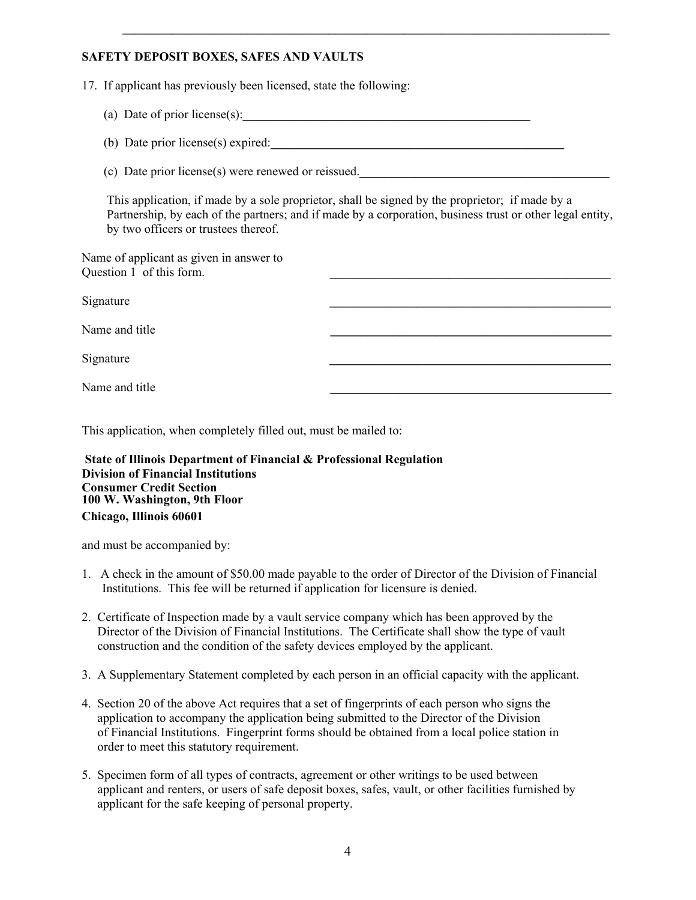17. If applicant has previously been licensed, state the following:

- (a) Date of prior license(s):**\_\_\_\_\_\_\_\_\_\_\_\_\_\_\_\_\_\_\_\_\_\_\_\_\_\_\_\_\_\_\_\_\_\_\_\_\_\_\_\_\_\_\_\_\_\_**
- (b) Date prior license(s) expired:

(c) Date prior license(s) were renewed or reissued.**\_\_\_\_\_\_\_\_\_\_\_\_\_\_\_\_\_\_\_\_\_\_\_\_\_\_\_\_\_\_\_\_\_\_\_\_\_\_\_\_**

 This application, if made by a sole proprietor, shall be signed by the proprietor; if made by a Partnership, by each of the partners; and if made by a corporation, business trust or other legal entity, by two officers or trustees thereof.

Name of applicant as given in answer to Question 1 of this form.

Signature *Letters Letters* **<b>***Letters Letters Letters* **<b>***Letters Letters Letters* **<b>***Letters Letters Letters* **<b>***Letters Letters Letters* **<b>***Letters Letters Letters* **<b>***Letters* Name and title Signature *Letters Letters* **<b>***Letters Letters Letters* **<b>***Letters Letters Letters* **<b>***Letters Letters Letters* **<b>***Letters Letters Letters* **<b>***Letters Letters Letters* **<b>***Letters* Name and title **\_\_\_\_\_\_\_\_\_\_\_\_\_\_\_\_\_\_\_\_\_\_\_\_\_\_\_\_\_\_\_\_\_\_\_\_\_\_\_\_\_\_\_\_\_**

This application, when completely filled out, must be mailed to:

**State of Illinois Department of Financial & Professional Regulation Division of Financial Institutions Consumer Credit Section 100 W. Washington, 9th Floor Chicago, Illinois 60601**

and must be accompanied by:

- 1. A check in the amount of \$50.00 made payable to the order of Director of the Division of Financial Institutions. This fee will be returned if application for licensure is denied.
- 2. Certificate of Inspection made by a vault service company which has been approved by the Director of the Division of Financial Institutions. The Certificate shall show the type of vault construction and the condition of the safety devices employed by the applicant.
- 3. A Supplementary Statement completed by each person in an official capacity with the applicant.
- 4. Section 20 of the above Act requires that a set of fingerprints of each person who signs the application to accompany the application being submitted to the Director of the Division of Financial Institutions. Fingerprint forms should be obtained from a local police station in order to meet this statutory requirement.
- 5. Specimen form of all types of contracts, agreement or other writings to be used between applicant and renters, or users of safe deposit boxes, safes, vault, or other facilities furnished by applicant for the safe keeping of personal property.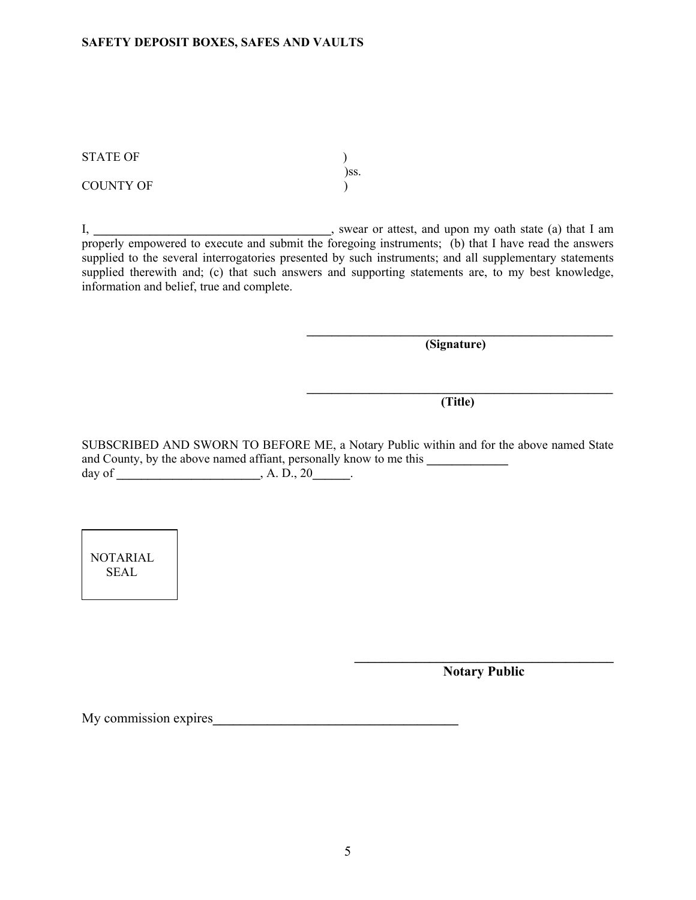)ss.

COUNTY OF  $\qquad \qquad$  )

I, **\_\_\_\_\_\_\_\_\_\_\_\_\_\_\_\_\_\_\_\_\_\_\_\_\_\_\_\_\_\_\_\_\_\_\_\_\_\_**, swear or attest, and upon my oath state (a) that I am properly empowered to execute and submit the foregoing instruments; (b) that I have read the answers supplied to the several interrogatories presented by such instruments; and all supplementary statements supplied therewith and; (c) that such answers and supporting statements are, to my best knowledge, information and belief, true and complete.

 $\mathcal{L}_\mathcal{L} = \mathcal{L}_\mathcal{L}$  , where  $\mathcal{L}_\mathcal{L} = \mathcal{L}_\mathcal{L}$  ,  $\mathcal{L}_\mathcal{L} = \mathcal{L}_\mathcal{L}$  ,  $\mathcal{L}_\mathcal{L} = \mathcal{L}_\mathcal{L}$  ,  $\mathcal{L}_\mathcal{L} = \mathcal{L}_\mathcal{L}$  ,  $\mathcal{L}_\mathcal{L} = \mathcal{L}_\mathcal{L}$  ,  $\mathcal{L}_\mathcal{L} = \mathcal{L}_\mathcal{L}$  ,  $\mathcal{$ 

**\_\_\_\_\_\_\_\_\_\_\_\_\_\_\_\_\_\_\_\_\_\_\_\_\_\_\_\_\_\_\_\_\_\_\_\_\_\_\_\_\_\_\_\_\_\_\_\_\_** 

**(Signature)** 

**(Title)** 

SUBSCRIBED AND SWORN TO BEFORE ME, a Notary Public within and for the above named State and County, by the above named affiant, personally know to me this day of **\_\_\_\_\_\_\_\_\_\_\_\_\_\_\_\_\_\_\_\_\_\_\_**, A. D., 20**\_\_\_\_\_\_**.

 $\mathcal{L}=\{1,2,3,4,5\}$ 

NOTARIAL SEAL

**Notary Public** 

My commission expires**\_\_\_\_\_\_\_\_\_\_\_\_\_\_\_\_\_\_\_\_\_\_\_\_\_\_\_\_\_\_\_\_\_\_\_\_**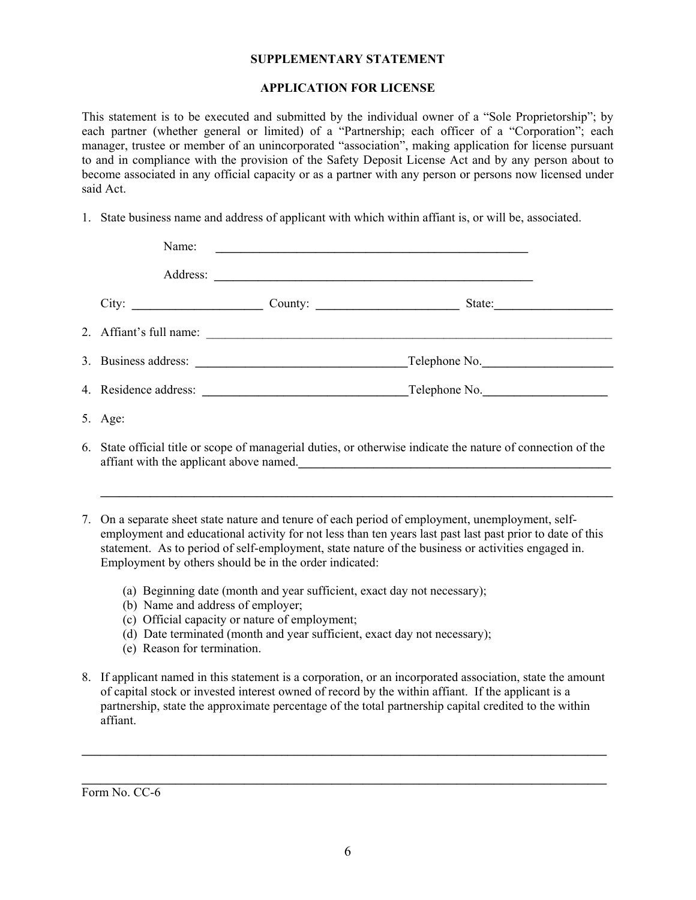### **SUPPLEMENTARY STATEMENT**

## **APPLICATION FOR LICENSE**

This statement is to be executed and submitted by the individual owner of a "Sole Proprietorship"; by each partner (whether general or limited) of a "Partnership; each officer of a "Corporation"; each manager, trustee or member of an unincorporated "association", making application for license pursuant to and in compliance with the provision of the Safety Deposit License Act and by any person about to become associated in any official capacity or as a partner with any person or persons now licensed under said Act.

1. State business name and address of applicant with which within affiant is, or will be, associated.

| Name:                                                                                                                                                                                                                                                                                                                                                  |  |                                   |
|--------------------------------------------------------------------------------------------------------------------------------------------------------------------------------------------------------------------------------------------------------------------------------------------------------------------------------------------------------|--|-----------------------------------|
|                                                                                                                                                                                                                                                                                                                                                        |  |                                   |
| City:                                                                                                                                                                                                                                                                                                                                                  |  | County:<br>State: $\qquad \qquad$ |
|                                                                                                                                                                                                                                                                                                                                                        |  |                                   |
|                                                                                                                                                                                                                                                                                                                                                        |  | $\Gamma$ elephone No.             |
|                                                                                                                                                                                                                                                                                                                                                        |  |                                   |
| 5. Age:                                                                                                                                                                                                                                                                                                                                                |  |                                   |
| 6. State official title or scope of managerial duties, or otherwise indicate the nature of connection of the<br>affiant with the applicant above named.<br><u>Letting and the set of the set of the set of the set of the set of the set of the set of the set of the set of the set of the set of the set of the set of the set of the set of the</u> |  |                                   |
|                                                                                                                                                                                                                                                                                                                                                        |  |                                   |

- 7. On a separate sheet state nature and tenure of each period of employment, unemployment, self employment and educational activity for not less than ten years last past last past prior to date of this statement. As to period of self-employment, state nature of the business or activities engaged in. Employment by others should be in the order indicated:
	- (a) Beginning date (month and year sufficient, exact day not necessary);
	- (b) Name and address of employer;
	- (c) Official capacity or nature of employment;
	- (d) Date terminated (month and year sufficient, exact day not necessary);
	- (e) Reason for termination.
- 8. If applicant named in this statement is a corporation, or an incorporated association, state the amount of capital stock or invested interest owned of record by the within affiant. If the applicant is a partnership, state the approximate percentage of the total partnership capital credited to the within affiant.

**\_\_\_\_\_\_\_\_\_\_\_\_\_\_\_\_\_\_\_\_\_\_\_\_\_\_\_\_\_\_\_\_\_\_\_\_\_\_\_\_\_\_\_\_\_\_\_\_\_\_\_\_\_\_\_\_\_\_\_\_\_\_\_\_\_\_\_\_\_\_\_\_\_\_\_\_\_\_\_\_\_\_\_\_** 

**\_\_\_\_\_\_\_\_\_\_\_\_\_\_\_\_\_\_\_\_\_\_\_\_\_\_\_\_\_\_\_\_\_\_\_\_\_\_\_\_\_\_\_\_\_\_\_\_\_\_\_\_\_\_\_\_\_\_\_\_\_\_\_\_\_\_\_\_\_\_\_\_\_\_\_\_\_\_\_\_\_\_\_\_** 

Form No. CC-6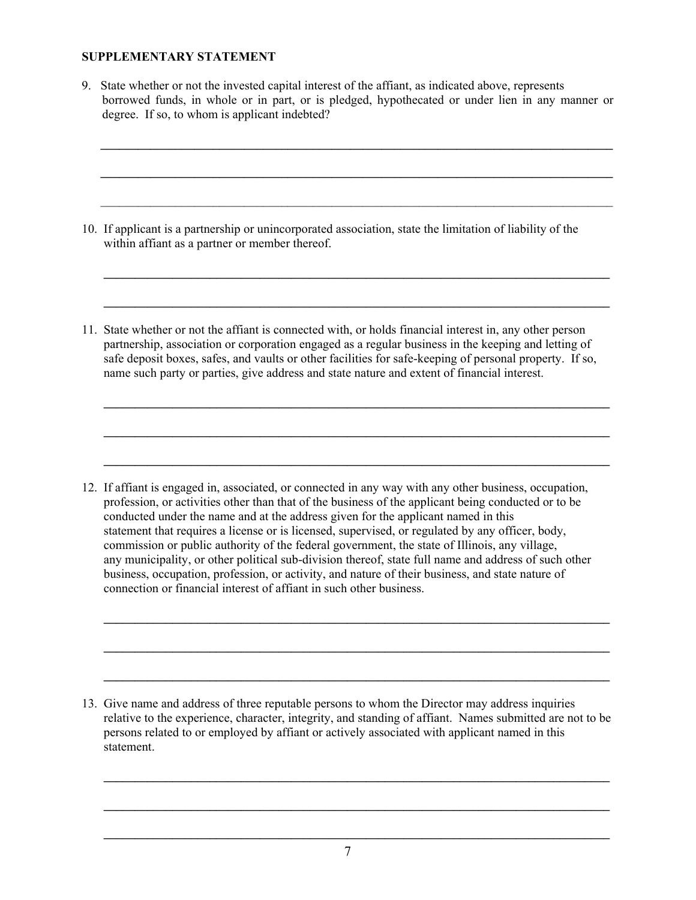## **SUPPLEMENTARY STATEMENT**

9. State whether or not the invested capital interest of the affiant, as indicated above, represents borrowed funds, in whole or in part, or is pledged, hypothecated or under lien in any manner or degree. If so, to whom is applicant indebted?

**\_\_\_\_\_\_\_\_\_\_\_\_\_\_\_\_\_\_\_\_\_\_\_\_\_\_\_\_\_\_\_\_\_\_\_\_\_\_\_\_\_\_\_\_\_\_\_\_\_\_\_\_\_\_\_\_\_\_\_\_\_\_\_\_\_\_\_\_\_\_\_\_\_\_\_\_\_\_\_\_\_\_** 

 $\mathcal{L} = \{ \mathcal{L} \mathcal{L} \mathcal{L} \mathcal{L} \mathcal{L} \mathcal{L} \mathcal{L} \mathcal{L} \mathcal{L} \mathcal{L} \mathcal{L} \mathcal{L} \mathcal{L} \mathcal{L} \mathcal{L} \mathcal{L} \mathcal{L} \mathcal{L} \mathcal{L} \mathcal{L} \mathcal{L} \mathcal{L} \mathcal{L} \mathcal{L} \mathcal{L} \mathcal{L} \mathcal{L} \mathcal{L} \mathcal{L} \mathcal{L} \mathcal{L} \mathcal{L} \mathcal{L} \mathcal{L} \mathcal{L} \$ 

 $\mathcal{L} = \{ \mathcal{L} = \{ \mathcal{L} \mid \mathcal{L} = \{ \mathcal{L} \mid \mathcal{L} = \{ \mathcal{L} \mid \mathcal{L} = \{ \mathcal{L} \mid \mathcal{L} = \{ \mathcal{L} \mid \mathcal{L} = \{ \mathcal{L} \mid \mathcal{L} = \{ \mathcal{L} \mid \mathcal{L} = \{ \mathcal{L} \mid \mathcal{L} = \{ \mathcal{L} \mid \mathcal{L} = \{ \mathcal{L} \mid \mathcal{L} = \{ \mathcal{L} \mid \mathcal{L} = \{ \mathcal{L} \mid \mathcal{L} =$ 

 $\mathcal{L} = \{ \mathcal{L} = \{ \mathcal{L} \mid \mathcal{L} = \{ \mathcal{L} \mid \mathcal{L} = \{ \mathcal{L} \mid \mathcal{L} = \{ \mathcal{L} \mid \mathcal{L} = \{ \mathcal{L} \mid \mathcal{L} = \{ \mathcal{L} \mid \mathcal{L} = \{ \mathcal{L} \mid \mathcal{L} = \{ \mathcal{L} \mid \mathcal{L} = \{ \mathcal{L} \mid \mathcal{L} = \{ \mathcal{L} \mid \mathcal{L} = \{ \mathcal{L} \mid \mathcal{L} = \{ \mathcal{L} \mid \mathcal{L} =$ 

- 10. If applicant is a partnership or unincorporated association, state the limitation of liability of the within affiant as a partner or member thereof.
- 11. State whether or not the affiant is connected with, or holds financial interest in, any other person partnership, association or corporation engaged as a regular business in the keeping and letting of safe deposit boxes, safes, and vaults or other facilities for safe-keeping of personal property. If so, name such party or parties, give address and state nature and extent of financial interest.

 $\mathcal{L} = \{ \mathcal{L} = \{ \mathcal{L} \mid \mathcal{L} = \{ \mathcal{L} \mid \mathcal{L} = \{ \mathcal{L} \mid \mathcal{L} = \{ \mathcal{L} \mid \mathcal{L} = \{ \mathcal{L} \mid \mathcal{L} = \{ \mathcal{L} \mid \mathcal{L} = \{ \mathcal{L} \mid \mathcal{L} = \{ \mathcal{L} \mid \mathcal{L} = \{ \mathcal{L} \mid \mathcal{L} = \{ \mathcal{L} \mid \mathcal{L} = \{ \mathcal{L} \mid \mathcal{L} = \{ \mathcal{L} \mid \mathcal{L} =$ 

 $\mathcal{L} = \{ \mathcal{L} = \{ \mathcal{L} \mid \mathcal{L} = \{ \mathcal{L} \mid \mathcal{L} = \{ \mathcal{L} \mid \mathcal{L} = \{ \mathcal{L} \mid \mathcal{L} = \{ \mathcal{L} \mid \mathcal{L} = \{ \mathcal{L} \mid \mathcal{L} = \{ \mathcal{L} \mid \mathcal{L} = \{ \mathcal{L} \mid \mathcal{L} = \{ \mathcal{L} \mid \mathcal{L} = \{ \mathcal{L} \mid \mathcal{L} = \{ \mathcal{L} \mid \mathcal{L} = \{ \mathcal{L} \mid \mathcal{L} =$ 

12. If affiant is engaged in, associated, or connected in any way with any other business, occupation, profession, or activities other than that of the business of the applicant being conducted or to be conducted under the name and at the address given for the applicant named in this statement that requires a license or is licensed, supervised, or regulated by any officer, body, commission or public authority of the federal government, the state of Illinois, any village, any municipality, or other political sub-division thereof, state full name and address of such other business, occupation, profession, or activity, and nature of their business, and state nature of connection or financial interest of affiant in such other business.

13. Give name and address of three reputable persons to whom the Director may address inquiries relative to the experience, character, integrity, and standing of affiant. Names submitted are not to be persons related to or employed by affiant or actively associated with applicant named in this statement.

 $\mathcal{L} = \{ \mathcal{L} = \{ \mathcal{L} \mid \mathcal{L} = \{ \mathcal{L} \mid \mathcal{L} = \{ \mathcal{L} \mid \mathcal{L} = \{ \mathcal{L} \mid \mathcal{L} = \{ \mathcal{L} \mid \mathcal{L} = \{ \mathcal{L} \mid \mathcal{L} = \{ \mathcal{L} \mid \mathcal{L} = \{ \mathcal{L} \mid \mathcal{L} = \{ \mathcal{L} \mid \mathcal{L} = \{ \mathcal{L} \mid \mathcal{L} = \{ \mathcal{L} \mid \mathcal{L} = \{ \mathcal{L} \mid \mathcal{L} =$ 

 $\mathcal{L} = \{ \mathcal{L} = \{ \mathcal{L} \mid \mathcal{L} = \{ \mathcal{L} \mid \mathcal{L} = \{ \mathcal{L} \mid \mathcal{L} = \{ \mathcal{L} \mid \mathcal{L} = \{ \mathcal{L} \mid \mathcal{L} = \{ \mathcal{L} \mid \mathcal{L} = \{ \mathcal{L} \mid \mathcal{L} = \{ \mathcal{L} \mid \mathcal{L} = \{ \mathcal{L} \mid \mathcal{L} = \{ \mathcal{L} \mid \mathcal{L} = \{ \mathcal{L} \mid \mathcal{L} = \{ \mathcal{L} \mid \mathcal{L} =$ 

 $\mathcal{L} = \{ \mathcal{L} = \{ \mathcal{L} \mid \mathcal{L} = \{ \mathcal{L} \mid \mathcal{L} = \{ \mathcal{L} \mid \mathcal{L} = \{ \mathcal{L} \mid \mathcal{L} = \{ \mathcal{L} \mid \mathcal{L} = \{ \mathcal{L} \mid \mathcal{L} = \{ \mathcal{L} \mid \mathcal{L} = \{ \mathcal{L} \mid \mathcal{L} = \{ \mathcal{L} \mid \mathcal{L} = \{ \mathcal{L} \mid \mathcal{L} = \{ \mathcal{L} \mid \mathcal{L} = \{ \mathcal{L} \mid \mathcal{L} =$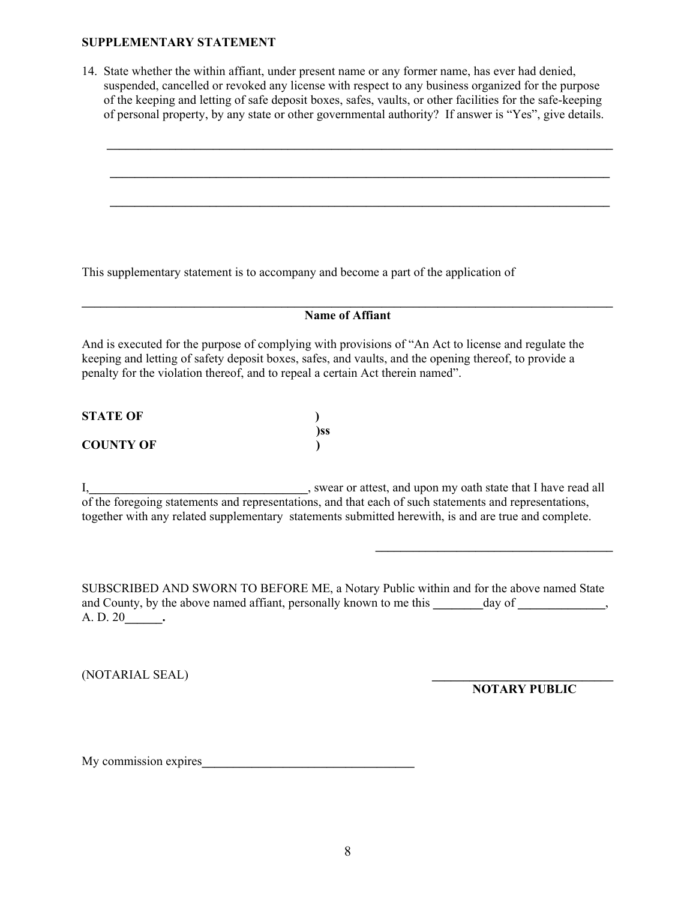### **SUPPLEMENTARY STATEMENT**

14. State whether the within affiant, under present name or any former name, has ever had denied, suspended, cancelled or revoked any license with respect to any business organized for the purpose of the keeping and letting of safe deposit boxes, safes, vaults, or other facilities for the safe-keeping of personal property, by any state or other governmental authority? If answer is "Yes", give details.



This supplementary statement is to accompany and become a part of the application of

**\_\_\_\_\_\_\_\_\_\_\_\_\_\_\_\_\_\_\_\_\_\_\_\_\_\_\_\_\_\_\_\_\_\_\_\_\_\_\_\_\_\_\_\_\_\_\_\_\_\_\_\_\_\_\_\_\_\_\_\_\_\_\_\_\_\_\_\_\_\_\_\_\_\_\_\_\_\_\_\_\_\_\_\_\_ Name of Affiant** 

And is executed for the purpose of complying with provisions of "An Act to license and regulate the keeping and letting of safety deposit boxes, safes, and vaults, and the opening thereof, to provide a penalty for the violation thereof, and to repeal a certain Act therein named".

| <b>STATE OF</b>  |     |
|------------------|-----|
|                  | )SS |
| <b>COUNTY OF</b> |     |

I,**\_\_\_\_\_\_\_\_\_\_\_\_\_\_\_\_\_\_\_\_\_\_\_\_\_\_\_\_\_\_\_\_\_\_\_**, swear or attest, and upon my oath state that I have read all of the foregoing statements and representations, and that each of such statements and representations, together with any related supplementary statements submitted herewith, is and are true and complete.

**\_\_\_\_\_\_\_\_\_\_\_\_\_\_\_\_\_\_\_\_\_\_\_\_\_\_\_\_\_\_\_\_\_\_\_\_\_\_** 

SUBSCRIBED AND SWORN TO BEFORE ME, a Notary Public within and for the above named State and County, by the above named affiant, personally known to me this *day of*, A. D. 20**\_\_\_\_\_\_.**

(NOTARIAL SEAL) **\_\_\_\_\_\_\_\_\_\_\_\_\_\_\_\_\_\_\_\_\_\_\_\_\_\_\_\_\_**

**NOTARY PUBLIC** 

My commission expires**\_\_\_\_\_\_\_\_\_\_\_\_\_\_\_\_\_\_\_\_\_\_\_\_\_\_\_\_\_\_\_\_\_\_**